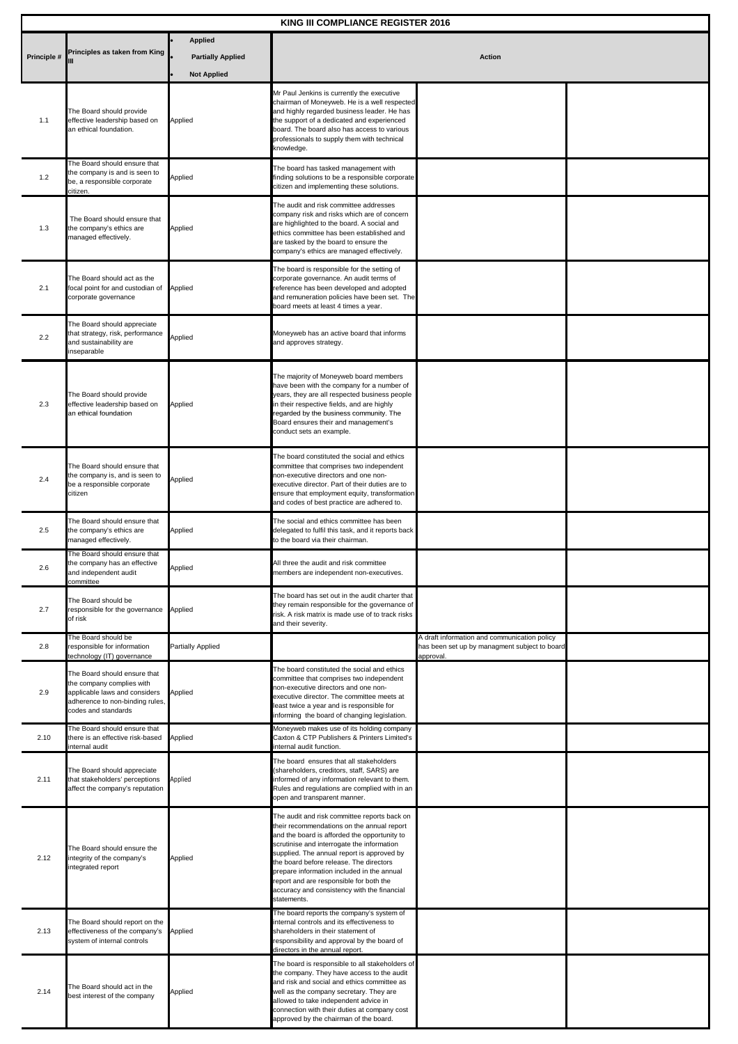| KING III COMPLIANCE REGISTER 2016 |                                                                                                                                                      |                                                |                                                                                                                                                                                                                                                                                                                                                                                                                                          |                                                                                                            |  |  |
|-----------------------------------|------------------------------------------------------------------------------------------------------------------------------------------------------|------------------------------------------------|------------------------------------------------------------------------------------------------------------------------------------------------------------------------------------------------------------------------------------------------------------------------------------------------------------------------------------------------------------------------------------------------------------------------------------------|------------------------------------------------------------------------------------------------------------|--|--|
| Principle #                       | Principles as taken from King                                                                                                                        | <b>Applied</b>                                 | <b>Action</b>                                                                                                                                                                                                                                                                                                                                                                                                                            |                                                                                                            |  |  |
|                                   |                                                                                                                                                      | <b>Partially Applied</b><br><b>Not Applied</b> |                                                                                                                                                                                                                                                                                                                                                                                                                                          |                                                                                                            |  |  |
| 1.1                               | The Board should provide<br>effective leadership based on<br>an ethical foundation.                                                                  | Applied                                        | Mr Paul Jenkins is currently the executive<br>chairman of Moneyweb. He is a well respected<br>and highly regarded business leader. He has<br>the support of a dedicated and experienced<br>board. The board also has access to various<br>professionals to supply them with technical<br>knowledge.                                                                                                                                      |                                                                                                            |  |  |
| 1.2                               | The Board should ensure that<br>the company is and is seen to<br>be, a responsible corporate<br>citizen.                                             | Applied                                        | The board has tasked management with<br>finding solutions to be a responsible corporate<br>citizen and implementing these solutions.                                                                                                                                                                                                                                                                                                     |                                                                                                            |  |  |
| 1.3                               | The Board should ensure that<br>the company's ethics are<br>managed effectively.                                                                     | Applied                                        | The audit and risk committee addresses<br>company risk and risks which are of concern<br>are highlighted to the board. A social and<br>ethics committee has been established and<br>are tasked by the board to ensure the<br>company's ethics are managed effectively.                                                                                                                                                                   |                                                                                                            |  |  |
| 2.1                               | The Board should act as the<br>focal point for and custodian of<br>corporate governance                                                              | Applied                                        | The board is responsible for the setting of<br>corporate governance. An audit terms of<br>reference has been developed and adopted<br>and remuneration policies have been set. The<br>board meets at least 4 times a year.                                                                                                                                                                                                               |                                                                                                            |  |  |
| 2.2                               | The Board should appreciate<br>that strategy, risk, performance<br>and sustainability are<br>nseparable                                              | Applied                                        | Moneyweb has an active board that informs<br>and approves strategy.                                                                                                                                                                                                                                                                                                                                                                      |                                                                                                            |  |  |
| 2.3                               | The Board should provide<br>effective leadership based on<br>an ethical foundation                                                                   | Applied                                        | The majority of Moneyweb board members<br>have been with the company for a number of<br>years, they are all respected business people<br>in their respective fields, and are highly<br>regarded by the business community. The<br>Board ensures their and management's<br>conduct sets an example.                                                                                                                                       |                                                                                                            |  |  |
| 2.4                               | The Board should ensure that<br>the company is, and is seen to<br>be a responsible corporate<br>citizen                                              | Applied                                        | The board constituted the social and ethics<br>committee that comprises two independent<br>non-executive directors and one non-<br>executive director. Part of their duties are to<br>ensure that employment equity, transformation<br>and codes of best practice are adhered to.                                                                                                                                                        |                                                                                                            |  |  |
| 2.5                               | The Board should ensure that<br>the company's ethics are<br>nanaged effectively.                                                                     | Applied                                        | The social and ethics committee has been<br>delegated to fulfil this task, and it reports back<br>to the board via their chairman.                                                                                                                                                                                                                                                                                                       |                                                                                                            |  |  |
| 2.6                               | The Board should ensure that<br>the company has an effective<br>nd independent audit<br>committee                                                    | Applied                                        | All three the audit and risk committee<br>embers are independent non-executives.                                                                                                                                                                                                                                                                                                                                                         |                                                                                                            |  |  |
| 2.7                               | The Board should be<br>responsible for the governance<br>of risk                                                                                     | Applied                                        | The board has set out in the audit charter that<br>they remain responsible for the governance of<br>risk. A risk matrix is made use of to track risks<br>and their severity.                                                                                                                                                                                                                                                             |                                                                                                            |  |  |
| 2.8                               | The Board should be<br>responsible for information<br>technology (IT) governance                                                                     | <b>Partially Applied</b>                       |                                                                                                                                                                                                                                                                                                                                                                                                                                          | A draft information and communication policy<br>has been set up by managment subject to board<br>approval. |  |  |
| 2.9                               | The Board should ensure that<br>the company complies with<br>applicable laws and considers<br>adherence to non-binding rules,<br>codes and standards | Applied                                        | The board constituted the social and ethics<br>committee that comprises two independent<br>non-executive directors and one non-<br>executive director. The committee meets at<br>least twice a year and is responsible for<br>informing the board of changing legislation.                                                                                                                                                               |                                                                                                            |  |  |
| 2.10                              | The Board should ensure that<br>there is an effective risk-based<br>internal audit                                                                   | Applied                                        | Moneyweb makes use of its holding company<br>Caxton & CTP Publishers & Printers Limited's<br>internal audit function.                                                                                                                                                                                                                                                                                                                    |                                                                                                            |  |  |
| 2.11                              | The Board should appreciate<br>that stakeholders' perceptions<br>affect the company's reputation                                                     | Applied                                        | The board ensures that all stakeholders<br>(shareholders, creditors, staff, SARS) are<br>informed of any information relevant to them.<br>Rules and regulations are complied with in an<br>open and transparent manner.                                                                                                                                                                                                                  |                                                                                                            |  |  |
| 2.12                              | The Board should ensure the<br>integrity of the company's<br>integrated report                                                                       | Applied                                        | The audit and risk committee reports back on<br>their recommendations on the annual report<br>and the board is afforded the opportunity to<br>scrutinise and interrogate the information<br>supplied. The annual report is approved by<br>the board before release. The directors<br>prepare information included in the annual<br>report and are responsible for both the<br>accuracy and consistency with the financial<br>statements. |                                                                                                            |  |  |
| 2.13                              | The Board should report on the<br>effectiveness of the company's<br>system of internal controls                                                      | Applied                                        | The board reports the company's system of<br>internal controls and its effectiveness to<br>shareholders in their statement of<br>responsibility and approval by the board of<br>directors in the annual report.                                                                                                                                                                                                                          |                                                                                                            |  |  |
| 2.14                              | The Board should act in the<br>best interest of the company                                                                                          | Applied                                        | The board is responsible to all stakeholders of<br>the company. They have access to the audit<br>and risk and social and ethics committee as<br>well as the company secretary. They are<br>allowed to take independent advice in<br>connection with their duties at company cost<br>approved by the chairman of the board.                                                                                                               |                                                                                                            |  |  |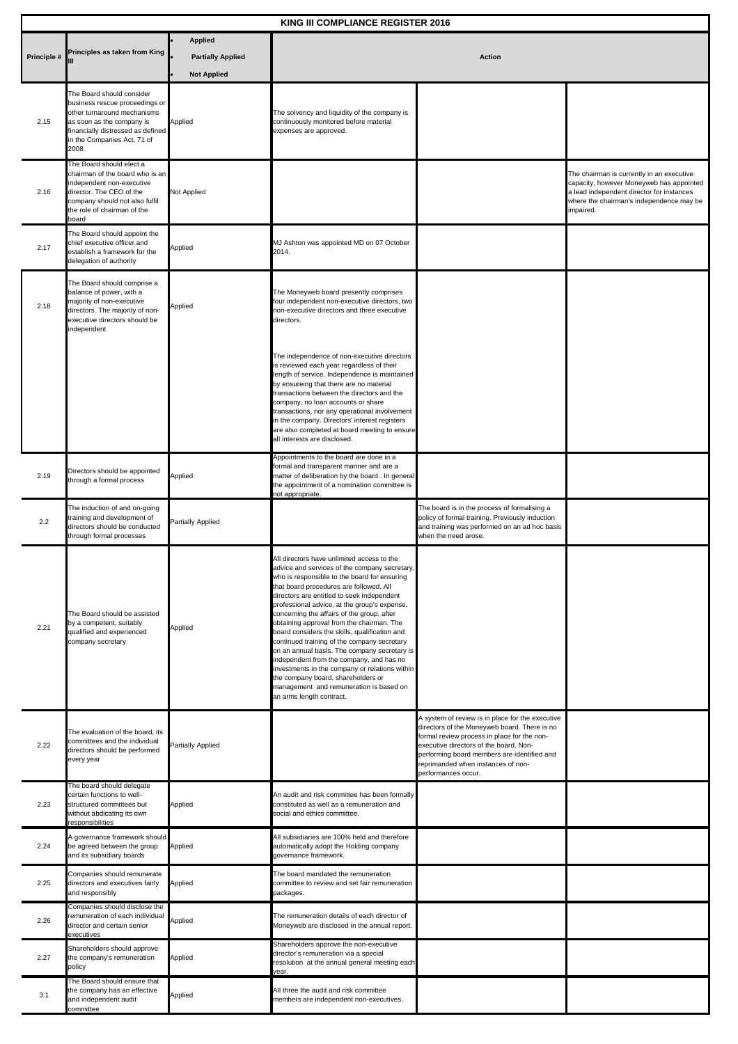| KING III COMPLIANCE REGISTER 2016 |                                                                                                                                                                                                      |                                            |                                                                                                                                                                                                                                                                                                                                                                                                                                                                                                                                                                                                                                                                                                                                            |                                                                                                                                                                                                                                                                                                       |                                                                                                                                                                                             |  |
|-----------------------------------|------------------------------------------------------------------------------------------------------------------------------------------------------------------------------------------------------|--------------------------------------------|--------------------------------------------------------------------------------------------------------------------------------------------------------------------------------------------------------------------------------------------------------------------------------------------------------------------------------------------------------------------------------------------------------------------------------------------------------------------------------------------------------------------------------------------------------------------------------------------------------------------------------------------------------------------------------------------------------------------------------------------|-------------------------------------------------------------------------------------------------------------------------------------------------------------------------------------------------------------------------------------------------------------------------------------------------------|---------------------------------------------------------------------------------------------------------------------------------------------------------------------------------------------|--|
| Principle #                       | Principles as taken from King                                                                                                                                                                        | <b>Applied</b><br><b>Partially Applied</b> | <b>Action</b>                                                                                                                                                                                                                                                                                                                                                                                                                                                                                                                                                                                                                                                                                                                              |                                                                                                                                                                                                                                                                                                       |                                                                                                                                                                                             |  |
|                                   |                                                                                                                                                                                                      | <b>Not Applied</b>                         |                                                                                                                                                                                                                                                                                                                                                                                                                                                                                                                                                                                                                                                                                                                                            |                                                                                                                                                                                                                                                                                                       |                                                                                                                                                                                             |  |
| 2.15                              | The Board should consider<br>business rescue proceedings or<br>other turnaround mechanisms<br>as soon as the company is<br>financially distressed as defined<br>in the Companies Act, 71 of<br>2008. | Applied                                    | The solvency and liquidity of the company is<br>continuously monitored before material<br>expenses are approved.                                                                                                                                                                                                                                                                                                                                                                                                                                                                                                                                                                                                                           |                                                                                                                                                                                                                                                                                                       |                                                                                                                                                                                             |  |
| 2.16                              | The Board should elect a<br>chairman of the board who is an<br>independent non-executive<br>director. The CEO of the<br>company should not also fulfil<br>the role of chairman of the<br>board       | Not Applied                                |                                                                                                                                                                                                                                                                                                                                                                                                                                                                                                                                                                                                                                                                                                                                            |                                                                                                                                                                                                                                                                                                       | The chairman is currently in an executive<br>capacity, however Moneyweb has appointed<br>a lead independent director for instances<br>where the chairman's independence may be<br>impaired. |  |
| 2.17                              | The Board should appoint the<br>chief executive officer and<br>establish a framework for the<br>delegation of authority                                                                              | Applied                                    | MJ Ashton was appointed MD on 07 October<br>2014.                                                                                                                                                                                                                                                                                                                                                                                                                                                                                                                                                                                                                                                                                          |                                                                                                                                                                                                                                                                                                       |                                                                                                                                                                                             |  |
| 2.18                              | The Board should comprise a<br>balance of power, with a<br>majority of non-executive<br>directors. The majority of non-<br>executive directors should be<br>independent                              | Applied                                    | The Moneyweb board presently comprises<br>four independent non-executive directors, two<br>non-executive directors and three executive<br>directors.                                                                                                                                                                                                                                                                                                                                                                                                                                                                                                                                                                                       |                                                                                                                                                                                                                                                                                                       |                                                                                                                                                                                             |  |
|                                   |                                                                                                                                                                                                      |                                            | The independence of non-executive directors<br>is reviewed each year regardless of their<br>length of service. Independence is maintained<br>by ensureing that there are no material<br>transactions between the directors and the<br>company, no loan accounts or share<br>transactions, nor any operational involvement<br>in the company. Directors' interest registers<br>are also completed at board meeting to ensure<br>all interests are disclosed.                                                                                                                                                                                                                                                                                |                                                                                                                                                                                                                                                                                                       |                                                                                                                                                                                             |  |
| 2.19                              | Directors should be appointed<br>through a formal process                                                                                                                                            | Applied                                    | Appointments to the board are done in a<br>formal and transparent manner and are a<br>matter of deliberation by the board. In general<br>the appointment of a nomination committee is<br>not appropriate.                                                                                                                                                                                                                                                                                                                                                                                                                                                                                                                                  |                                                                                                                                                                                                                                                                                                       |                                                                                                                                                                                             |  |
| 2.2                               | The induction of and on-going<br>training and development of<br>directors should be conducted<br>through formal processes                                                                            | Partially Applied                          |                                                                                                                                                                                                                                                                                                                                                                                                                                                                                                                                                                                                                                                                                                                                            | The board is in the process of formalising a<br>policy of formal training. Previously induction<br>and training was performed on an ad hoc basis<br>when the need arose.                                                                                                                              |                                                                                                                                                                                             |  |
| 2.21                              | The Board should be assisted<br>by a competent, suitably<br>qualified and experienced<br>company secretary                                                                                           | Applied                                    | All directors have unlimited access to the<br>advice and services of the company secretary,<br>who is responsible to the board for ensuring<br>that board procedures are followed. All<br>directors are entitled to seek independent<br>professional advice, at the group's expense,<br>concerning the affairs of the group, after<br>obtaining approval from the chairman. The<br>board considers the skills, qualification and<br>continued training of the company secretary<br>on an annual basis. The company secretary is<br>independent from the company, and has no<br>investments in the company or relations within<br>the company board, shareholders or<br>management and remuneration is based on<br>an arms length contract. |                                                                                                                                                                                                                                                                                                       |                                                                                                                                                                                             |  |
| 2.22                              | The evaluation of the board, its<br>committees and the individual<br>directors should be performed<br>every year                                                                                     | Partially Applied                          |                                                                                                                                                                                                                                                                                                                                                                                                                                                                                                                                                                                                                                                                                                                                            | A system of review is in place for the executive<br>directors of the Moneyweb board. There is no<br>formal review process in place for the non-<br>executive directors of the board. Non-<br>performing board members are identified and<br>reprimanded when instances of non-<br>performances occur. |                                                                                                                                                                                             |  |
| 2.23                              | The board should delegate<br>certain functions to well-<br>structured committees but<br>without abdicating its own<br>esponsibilities                                                                | Applied                                    | An audit and risk committee has been formally<br>constituted as well as a remuneration and<br>social and ethics committee.                                                                                                                                                                                                                                                                                                                                                                                                                                                                                                                                                                                                                 |                                                                                                                                                                                                                                                                                                       |                                                                                                                                                                                             |  |
| 2.24                              | A governance framework should<br>be agreed between the group<br>and its subsidiary boards                                                                                                            | Applied                                    | All subsidiaries are 100% held and therefore<br>automatically adopt the Holding company<br>governance framework.                                                                                                                                                                                                                                                                                                                                                                                                                                                                                                                                                                                                                           |                                                                                                                                                                                                                                                                                                       |                                                                                                                                                                                             |  |
| 2.25                              | Companies should remunerate<br>directors and executives fairly<br>and responsibly                                                                                                                    | Applied                                    | The board mandated the remuneration<br>committee to review and set fair remuneration<br>packages.                                                                                                                                                                                                                                                                                                                                                                                                                                                                                                                                                                                                                                          |                                                                                                                                                                                                                                                                                                       |                                                                                                                                                                                             |  |
| 2.26                              | Companies should disclose the<br>remuneration of each individual<br>director and certain senior<br>executives                                                                                        | Applied                                    | The remuneration details of each director of<br>Moneyweb are disclosed in the annual report.                                                                                                                                                                                                                                                                                                                                                                                                                                                                                                                                                                                                                                               |                                                                                                                                                                                                                                                                                                       |                                                                                                                                                                                             |  |
| 2.27                              | Shareholders should approve<br>the company's remuneration<br>policy                                                                                                                                  | Applied                                    | Shareholders approve the non-executive<br>director's remuneration via a special<br>resolution at the annual general meeting each<br>year.                                                                                                                                                                                                                                                                                                                                                                                                                                                                                                                                                                                                  |                                                                                                                                                                                                                                                                                                       |                                                                                                                                                                                             |  |
| 3.1                               | The Board should ensure that<br>the company has an effective<br>and independent audit<br>committee                                                                                                   | Applied                                    | All three the audit and risk committee<br>members are independent non-executives.                                                                                                                                                                                                                                                                                                                                                                                                                                                                                                                                                                                                                                                          |                                                                                                                                                                                                                                                                                                       |                                                                                                                                                                                             |  |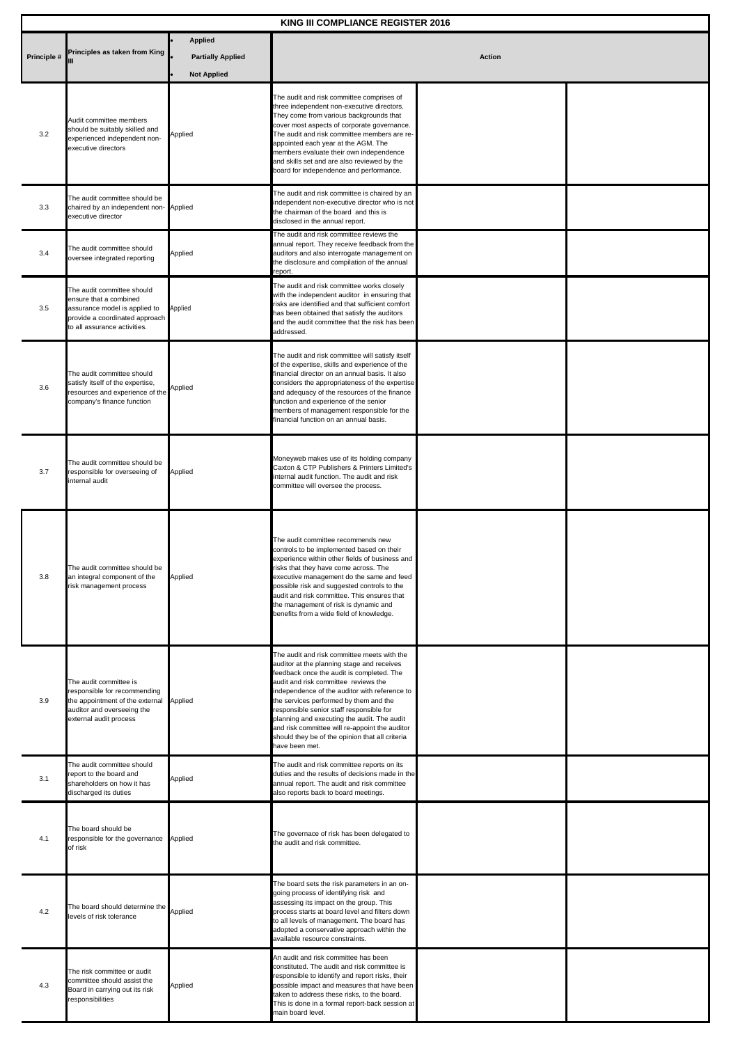| KING III COMPLIANCE REGISTER 2016 |                                                                                                                                                           |                                                                  |                                                                                                                                                                                                                                                                                                                                                                                                                                                                                             |               |  |  |
|-----------------------------------|-----------------------------------------------------------------------------------------------------------------------------------------------------------|------------------------------------------------------------------|---------------------------------------------------------------------------------------------------------------------------------------------------------------------------------------------------------------------------------------------------------------------------------------------------------------------------------------------------------------------------------------------------------------------------------------------------------------------------------------------|---------------|--|--|
| Principle #                       | Principles as taken from King                                                                                                                             | <b>Applied</b><br><b>Partially Applied</b><br><b>Not Applied</b> |                                                                                                                                                                                                                                                                                                                                                                                                                                                                                             | <b>Action</b> |  |  |
| 3.2                               | Audit committee members<br>should be suitably skilled and<br>experienced independent non-<br>executive directors                                          | Applied                                                          | The audit and risk committee comprises of<br>three independent non-executive directors.<br>They come from various backgrounds that<br>cover most aspects of corporate governance.<br>The audit and risk committee members are re-<br>appointed each year at the AGM. The<br>members evaluate their own independence<br>and skills set and are also reviewed by the<br>board for independence and performance.                                                                               |               |  |  |
| 3.3                               | The audit committee should be<br>chaired by an independent non- Applied<br>executive director                                                             |                                                                  | The audit and risk committee is chaired by an<br>independent non-executive director who is not<br>the chairman of the board and this is<br>disclosed in the annual report.                                                                                                                                                                                                                                                                                                                  |               |  |  |
| 3.4                               | The audit committee should<br>oversee integrated reporting                                                                                                | Applied                                                          | The audit and risk committee reviews the<br>annual report. They receive feedback from the<br>auditors and also interrogate management on<br>the disclosure and compilation of the annual<br>report.                                                                                                                                                                                                                                                                                         |               |  |  |
| 3.5                               | The audit committee should<br>ensure that a combined<br>assurance model is applied to<br>provide a coordinated approach<br>to all assurance activities.   | Applied                                                          | The audit and risk committee works closely<br>with the independent auditor in ensuring that<br>risks are identified and that sufficient comfort<br>has been obtained that satisfy the auditors<br>and the audit committee that the risk has been<br>addressed.                                                                                                                                                                                                                              |               |  |  |
| 3.6                               | The audit committee should<br>satisfy itself of the expertise,<br>resources and experience of the<br>company's finance function                           | Applied                                                          | The audit and risk committee will satisfy itself<br>of the expertise, skills and experience of the<br>financial director on an annual basis. It also<br>considers the appropriateness of the expertise<br>and adequacy of the resources of the finance<br>function and experience of the senior<br>members of management responsible for the<br>financial function on an annual basis.                                                                                                      |               |  |  |
| 3.7                               | The audit committee should be<br>responsible for overseeing of<br>internal audit                                                                          | Applied                                                          | Moneyweb makes use of its holding company<br>Caxton & CTP Publishers & Printers Limited's<br>internal audit function. The audit and risk<br>committee will oversee the process.                                                                                                                                                                                                                                                                                                             |               |  |  |
| 3.8                               | The audit committee should be<br>an integral component of the<br>risk management process                                                                  | Applied                                                          | The audit committee recommends new<br>controls to be implemented based on their<br>experience within other fields of business and<br>risks that they have come across. The<br>executive management do the same and feed<br>possible risk and suggested controls to the<br>audit and risk committee. This ensures that<br>the management of risk is dynamic and<br>benefits from a wide field of knowledge.                                                                                  |               |  |  |
| 3.9                               | The audit committee is<br>responsible for recommending<br>the appointment of the external Applied<br>auditor and overseeing the<br>external audit process |                                                                  | The audit and risk committee meets with the<br>auditor at the planning stage and receives<br>feedback once the audit is completed. The<br>audit and risk committee reviews the<br>independence of the auditor with reference to<br>the services performed by them and the<br>responsible senior staff responsible for<br>planning and executing the audit. The audit<br>and risk committee will re-appoint the auditor<br>should they be of the opinion that all criteria<br>have been met. |               |  |  |
| 3.1                               | The audit committee should<br>report to the board and<br>shareholders on how it has<br>discharged its duties                                              | Applied                                                          | The audit and risk committee reports on its<br>duties and the results of decisions made in the<br>annual report. The audit and risk committee<br>also reports back to board meetings.                                                                                                                                                                                                                                                                                                       |               |  |  |
| 4.1                               | The board should be<br>responsible for the governance<br>of risk                                                                                          | Applied                                                          | The governace of risk has been delegated to<br>the audit and risk committee.                                                                                                                                                                                                                                                                                                                                                                                                                |               |  |  |
| 4.2                               | The board should determine the<br>levels of risk tolerance                                                                                                | Applied                                                          | The board sets the risk parameters in an on-<br>going process of identifying risk and<br>assessing its impact on the group. This<br>process starts at board level and filters down<br>to all levels of management. The board has<br>adopted a conservative approach within the<br>available resource constraints.                                                                                                                                                                           |               |  |  |
| 4.3                               | The risk committee or audit<br>committee should assist the<br>Board in carrying out its risk<br>responsibilities                                          | Applied                                                          | An audit and risk committee has been<br>constituted. The audit and risk committee is<br>responsible to identify and report risks, their<br>possible impact and measures that have been<br>taken to address these risks, to the board.<br>This is done in a formal report-back session at<br>main board level.                                                                                                                                                                               |               |  |  |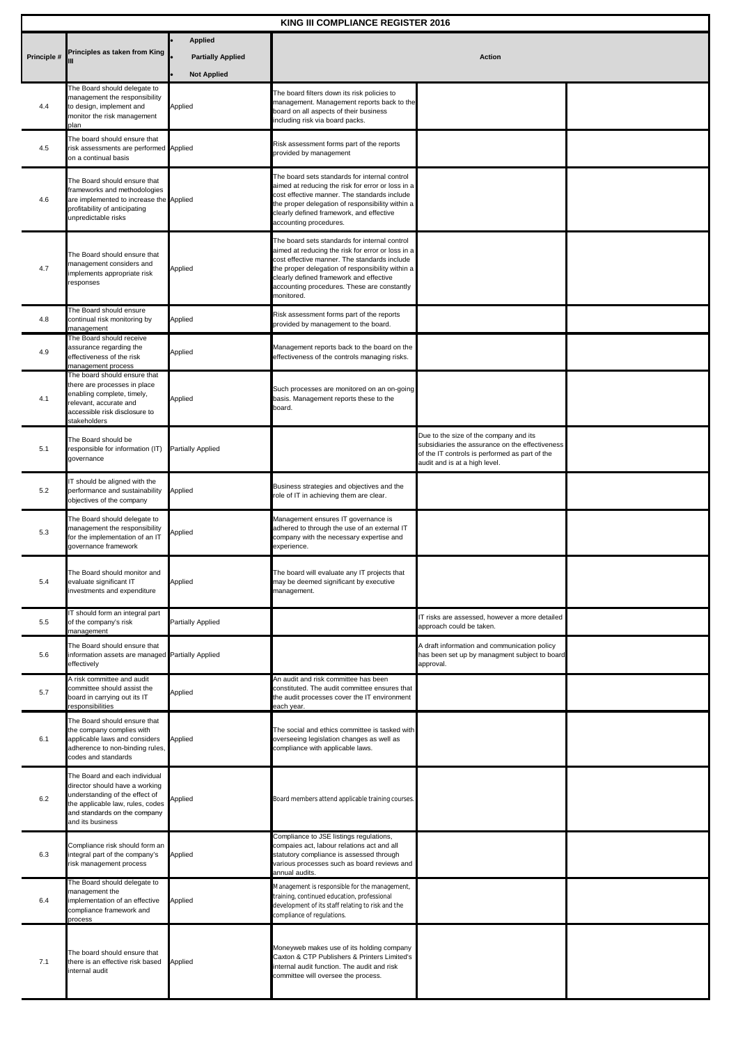| KING III COMPLIANCE REGISTER 2016 |                                                                                                                                                                                           |                                                                  |                                                                                                                                                                                                                                                                                                                |                                                                                                                                                                              |  |  |
|-----------------------------------|-------------------------------------------------------------------------------------------------------------------------------------------------------------------------------------------|------------------------------------------------------------------|----------------------------------------------------------------------------------------------------------------------------------------------------------------------------------------------------------------------------------------------------------------------------------------------------------------|------------------------------------------------------------------------------------------------------------------------------------------------------------------------------|--|--|
| Principle #                       | Principles as taken from King                                                                                                                                                             | <b>Applied</b><br><b>Partially Applied</b><br><b>Not Applied</b> | <b>Action</b>                                                                                                                                                                                                                                                                                                  |                                                                                                                                                                              |  |  |
| 4.4                               | The Board should delegate to<br>management the responsibility<br>to design, implement and<br>monitor the risk management<br>plan                                                          | Applied                                                          | The board filters down its risk policies to<br>management. Management reports back to the<br>board on all aspects of their business<br>including risk via board packs.                                                                                                                                         |                                                                                                                                                                              |  |  |
| 4.5                               | The board should ensure that<br>risk assessments are performed Applied<br>on a continual basis                                                                                            |                                                                  | Risk assessment forms part of the reports<br>provided by management                                                                                                                                                                                                                                            |                                                                                                                                                                              |  |  |
| 4.6                               | The Board should ensure that<br>frameworks and methodologies<br>are implemented to increase the Applied<br>profitability of anticipating<br>unpredictable risks                           |                                                                  | The board sets standards for internal control<br>aimed at reducing the risk for error or loss in a<br>cost effective manner. The standards include<br>the proper delegation of responsibility within a<br>clearly defined framework, and effective<br>accounting procedures.                                   |                                                                                                                                                                              |  |  |
| 4.7                               | The Board should ensure that<br>management considers and<br>mplements appropriate risk<br>responses                                                                                       | Applied                                                          | The board sets standards for internal control<br>aimed at reducing the risk for error or loss in a<br>cost effective manner. The standards include<br>the proper delegation of responsibility within a<br>clearly defined framework and effective<br>accounting procedures. These are constantly<br>monitored. |                                                                                                                                                                              |  |  |
| 4.8                               | The Board should ensure<br>continual risk monitoring by<br>management                                                                                                                     | Applied                                                          | Risk assessment forms part of the reports<br>provided by management to the board.                                                                                                                                                                                                                              |                                                                                                                                                                              |  |  |
| 4.9                               | The Board should receive<br>assurance regarding the<br>effectiveness of the risk<br>management process                                                                                    | Applied                                                          | Management reports back to the board on the<br>effectiveness of the controls managing risks.                                                                                                                                                                                                                   |                                                                                                                                                                              |  |  |
| 4.1                               | The board should ensure that<br>there are processes in place<br>enabling complete, timely,<br>relevant, accurate and<br>accessible risk disclosure to<br>stakeholders                     | Applied                                                          | Such processes are monitored on an on-going<br>basis. Management reports these to the<br>board.                                                                                                                                                                                                                |                                                                                                                                                                              |  |  |
| 5.1                               | The Board should be<br>responsible for information (IT)<br>governance                                                                                                                     | <b>Partially Applied</b>                                         |                                                                                                                                                                                                                                                                                                                | Due to the size of the company and its<br>subsidiaries the assurance on the effectiveness<br>of the IT controls is performed as part of the<br>audit and is at a high level. |  |  |
| 5.2                               | T should be aligned with the<br>performance and sustainability<br>objectives of the company                                                                                               | Applied                                                          | Business strategies and objectives and the<br>role of IT in achieving them are clear.                                                                                                                                                                                                                          |                                                                                                                                                                              |  |  |
| 5.3                               | The Board should delegate to<br>management the responsibility<br>or the implementation of an IT<br>governance framework                                                                   | Applied                                                          | Management ensures IT governance is<br>adhered to through the use of an external IT<br>company with the necessary expertise and<br>experience.                                                                                                                                                                 |                                                                                                                                                                              |  |  |
| 5.4                               | he Board should monitor and<br>evaluate significant IT<br>investments and expenditure                                                                                                     | Applied                                                          | The board will evaluate any IT projects that<br>may be deemed significant by executive<br>management.                                                                                                                                                                                                          |                                                                                                                                                                              |  |  |
| 5.5                               | IT should form an integral part<br>of the company's risk<br>management                                                                                                                    | Partially Applied                                                |                                                                                                                                                                                                                                                                                                                | IT risks are assessed, however a more detailed<br>approach could be taken.                                                                                                   |  |  |
| 5.6                               | The Board should ensure that<br>information assets are managed Partially Applied<br>effectively                                                                                           |                                                                  |                                                                                                                                                                                                                                                                                                                | A draft information and communication policy<br>has been set up by managment subject to board<br>approval.                                                                   |  |  |
| 5.7                               | A risk committee and audit<br>committee should assist the<br>board in carrying out its IT<br>responsibilities                                                                             | Applied                                                          | An audit and risk committee has been<br>constituted. The audit committee ensures that<br>the audit processes cover the IT environment<br>each year.                                                                                                                                                            |                                                                                                                                                                              |  |  |
| 6.1                               | The Board should ensure that<br>the company complies with<br>applicable laws and considers<br>adherence to non-binding rules,<br>codes and standards                                      | Applied                                                          | The social and ethics committee is tasked with<br>overseeing legislation changes as well as<br>compliance with applicable laws.                                                                                                                                                                                |                                                                                                                                                                              |  |  |
| 6.2                               | The Board and each individual<br>director should have a working<br>understanding of the effect of<br>the applicable law, rules, codes<br>and standards on the company<br>and its business | Applied                                                          | Board members attend applicable training courses.                                                                                                                                                                                                                                                              |                                                                                                                                                                              |  |  |
| 6.3                               | Compliance risk should form an<br>integral part of the company's<br>risk management process                                                                                               | Applied                                                          | Compliance to JSE listings regulations,<br>compaies act, labour relations act and all<br>statutory compliance is assessed through<br>various processes such as board reviews and<br>annual audits.                                                                                                             |                                                                                                                                                                              |  |  |
| 6.4                               | The Board should delegate to<br>management the<br>implementation of an effective<br>compliance framework and<br>process                                                                   | Applied                                                          | Management is responsible for the management,<br>training, continued education, professional<br>development of its staff relating to risk and the<br>compliance of regulations.                                                                                                                                |                                                                                                                                                                              |  |  |
| 7.1                               | The board should ensure that<br>there is an effective risk based<br>internal audit                                                                                                        | Applied                                                          | Moneyweb makes use of its holding company<br>Caxton & CTP Publishers & Printers Limited's<br>internal audit function. The audit and risk<br>committee will oversee the process.                                                                                                                                |                                                                                                                                                                              |  |  |